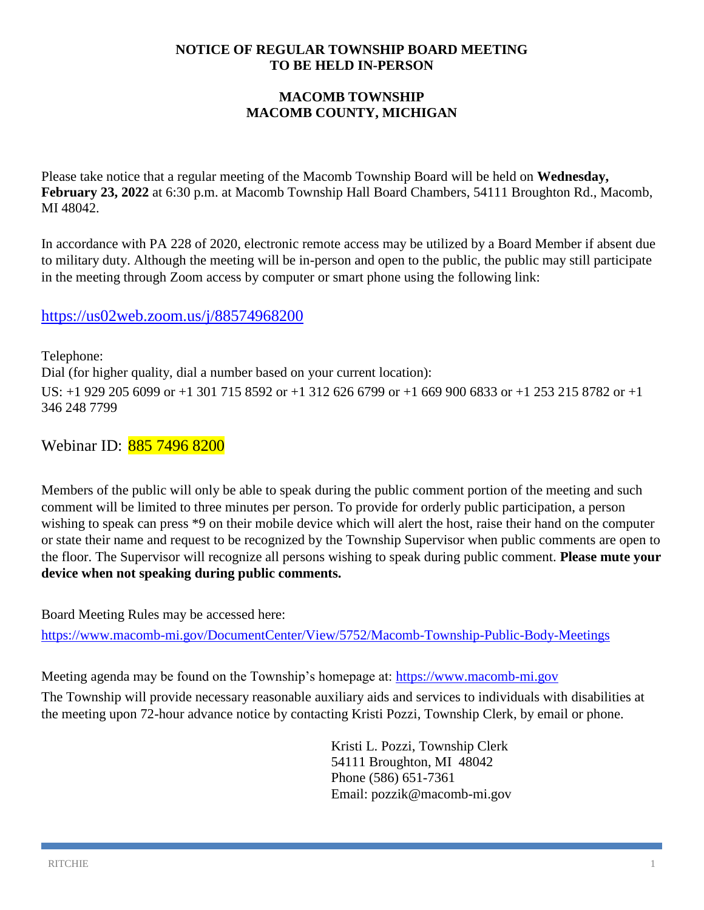#### **NOTICE OF REGULAR TOWNSHIP BOARD MEETING TO BE HELD IN-PERSON**

## **MACOMB TOWNSHIP MACOMB COUNTY, MICHIGAN**

Please take notice that a regular meeting of the Macomb Township Board will be held on **Wednesday, February 23, 2022** at 6:30 p.m. at Macomb Township Hall Board Chambers, 54111 Broughton Rd., Macomb, MI 48042.

In accordance with PA 228 of 2020, electronic remote access may be utilized by a Board Member if absent due to military duty. Although the meeting will be in-person and open to the public, the public may still participate in the meeting through Zoom access by computer or smart phone using the following link:

## <https://us02web.zoom.us/j/88574968200>

Telephone: Dial (for higher quality, dial a number based on your current location): US: +1 929 205 6099 or +1 301 715 8592 or +1 312 626 6799 or +1 669 900 6833 or +1 253 215 8782 or +1 346 248 7799

Webinar ID: 885 7496 8200

Members of the public will only be able to speak during the public comment portion of the meeting and such comment will be limited to three minutes per person. To provide for orderly public participation, a person wishing to speak can press \*9 on their mobile device which will alert the host, raise their hand on the computer or state their name and request to be recognized by the Township Supervisor when public comments are open to the floor. The Supervisor will recognize all persons wishing to speak during public comment. **Please mute your device when not speaking during public comments.**

Board Meeting Rules may be accessed here:

<https://www.macomb-mi.gov/DocumentCenter/View/5752/Macomb-Township-Public-Body-Meetings>

Meeting agenda may be found on the Township's homepage at: [https://www.macomb-mi.gov](https://www.macomb-mi.gov/)

The Township will provide necessary reasonable auxiliary aids and services to individuals with disabilities at the meeting upon 72-hour advance notice by contacting Kristi Pozzi, Township Clerk, by email or phone.

> Kristi L. Pozzi, Township Clerk 54111 Broughton, MI 48042 Phone (586) 651-7361 Email: pozzik@macomb-mi.gov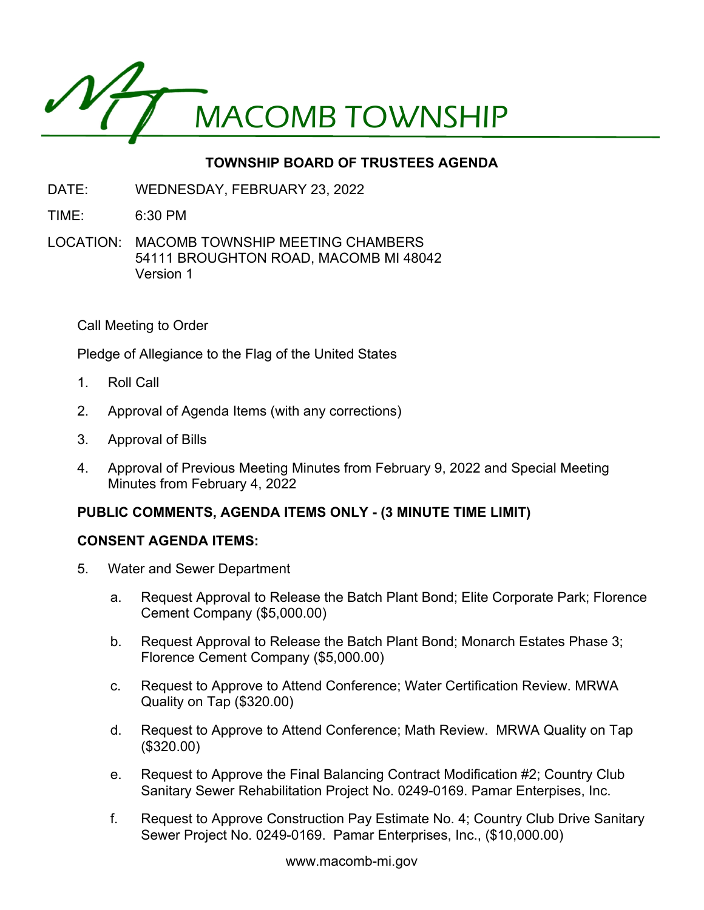

# **TOWNSHIP BOARD OF TRUSTEES AGENDA**

- DATE: WEDNESDAY, FEBRUARY 23, 2022
- TIME: 6:30 PM
- LOCATION: MACOMB TOWNSHIP MEETING CHAMBERS 54111 BROUGHTON ROAD, MACOMB MI 48042 Version 1

Call Meeting to Order

Pledge of Allegiance to the Flag of the United States

- 1. Roll Call
- 2. Approval of Agenda Items (with any corrections)
- 3. Approval of Bills
- 4. Approval of Previous Meeting Minutes from February 9, 2022 and Special Meeting Minutes from February 4, 2022

## **PUBLIC COMMENTS, AGENDA ITEMS ONLY - (3 MINUTE TIME LIMIT)**

#### **CONSENT AGENDA ITEMS:**

- 5. Water and Sewer Department
	- a. Request Approval to Release the Batch Plant Bond; Elite Corporate Park; Florence Cement Company (\$5,000.00)
	- b. Request Approval to Release the Batch Plant Bond; Monarch Estates Phase 3; Florence Cement Company (\$5,000.00)
	- c. Request to Approve to Attend Conference; Water Certification Review. MRWA Quality on Tap (\$320.00)
	- d. Request to Approve to Attend Conference; Math Review. MRWA Quality on Tap (\$320.00)
	- e. Request to Approve the Final Balancing Contract Modification #2; Country Club Sanitary Sewer Rehabilitation Project No. 0249-0169. Pamar Enterpises, Inc.
	- f. Request to Approve Construction Pay Estimate No. 4; Country Club Drive Sanitary Sewer Project No. 0249-0169. Pamar Enterprises, Inc., (\$10,000.00)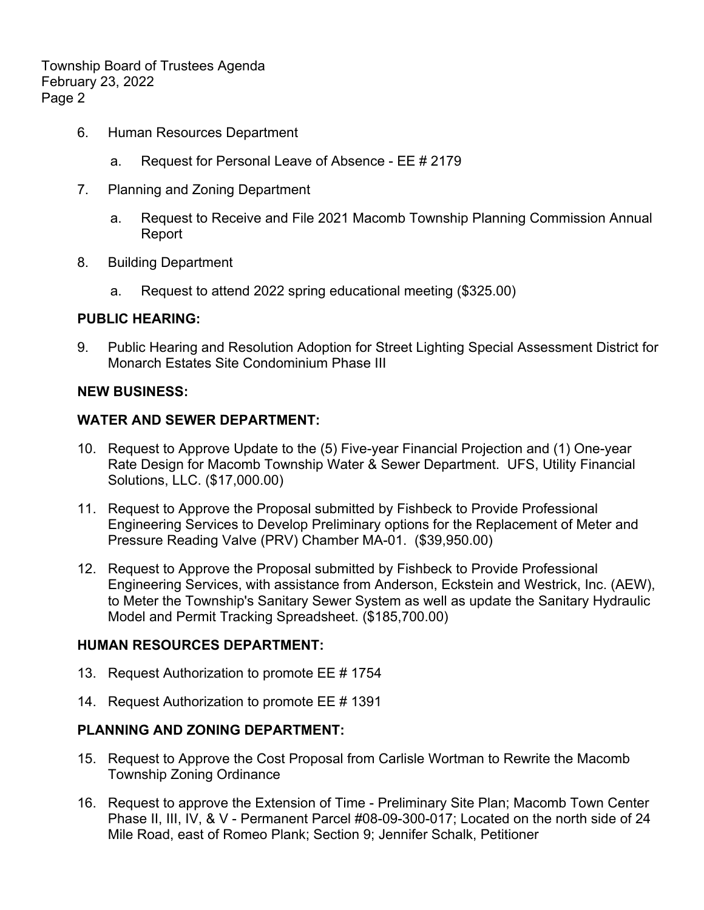Township Board of Trustees Agenda February 23, 2022 Page 2

- 6. Human Resources Department
	- a. Request for Personal Leave of Absence EE # 2179
- 7. Planning and Zoning Department
	- a. Request to Receive and File 2021 Macomb Township Planning Commission Annual Report
- 8. Building Department
	- a. Request to attend 2022 spring educational meeting (\$325.00)

#### **PUBLIC HEARING:**

9. Public Hearing and Resolution Adoption for Street Lighting Special Assessment District for Monarch Estates Site Condominium Phase III

#### **NEW BUSINESS:**

#### **WATER AND SEWER DEPARTMENT:**

- 10. Request to Approve Update to the (5) Five-year Financial Projection and (1) One-year Rate Design for Macomb Township Water & Sewer Department. UFS, Utility Financial Solutions, LLC. (\$17,000.00)
- 11. Request to Approve the Proposal submitted by Fishbeck to Provide Professional Engineering Services to Develop Preliminary options for the Replacement of Meter and Pressure Reading Valve (PRV) Chamber MA-01. (\$39,950.00)
- 12. Request to Approve the Proposal submitted by Fishbeck to Provide Professional Engineering Services, with assistance from Anderson, Eckstein and Westrick, Inc. (AEW), to Meter the Township's Sanitary Sewer System as well as update the Sanitary Hydraulic Model and Permit Tracking Spreadsheet. (\$185,700.00)

## **HUMAN RESOURCES DEPARTMENT:**

- 13. Request Authorization to promote EE # 1754
- 14. Request Authorization to promote EE # 1391

## **PLANNING AND ZONING DEPARTMENT:**

- 15. Request to Approve the Cost Proposal from Carlisle Wortman to Rewrite the Macomb Township Zoning Ordinance
- 16. Request to approve the Extension of Time Preliminary Site Plan; Macomb Town Center Phase II, III, IV, & V - Permanent Parcel #08-09-300-017; Located on the north side of 24 Mile Road, east of Romeo Plank; Section 9; Jennifer Schalk, Petitioner